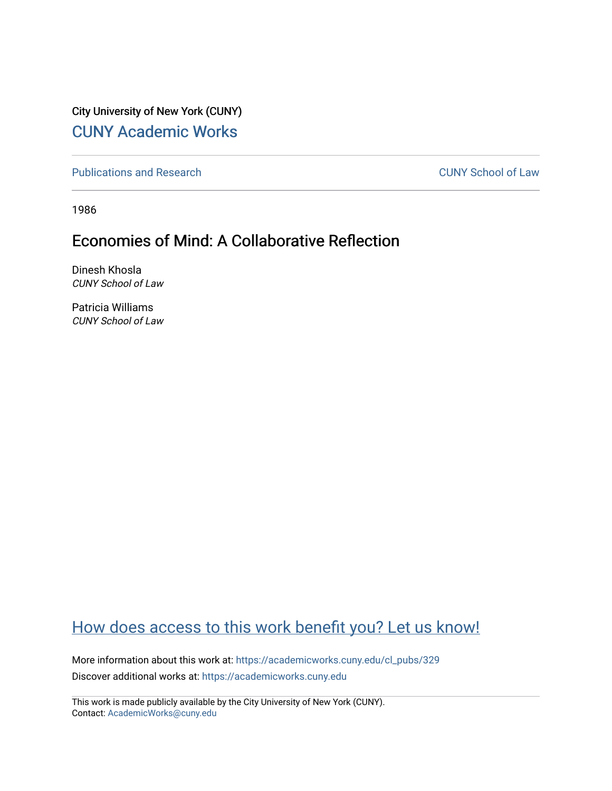City University of New York (CUNY) [CUNY Academic Works](https://academicworks.cuny.edu/) 

[Publications and Research](https://academicworks.cuny.edu/cl_pubs) [CUNY School of Law](https://academicworks.cuny.edu/cl) 

1986

## Economies of Mind: A Collaborative Reflection

Dinesh Khosla CUNY School of Law

Patricia Williams CUNY School of Law

## [How does access to this work benefit you? Let us know!](http://ols.cuny.edu/academicworks/?ref=https://academicworks.cuny.edu/cl_pubs/329)

More information about this work at: [https://academicworks.cuny.edu/cl\\_pubs/329](https://academicworks.cuny.edu/cl_pubs/329) Discover additional works at: [https://academicworks.cuny.edu](https://academicworks.cuny.edu/?)

This work is made publicly available by the City University of New York (CUNY). Contact: [AcademicWorks@cuny.edu](mailto:AcademicWorks@cuny.edu)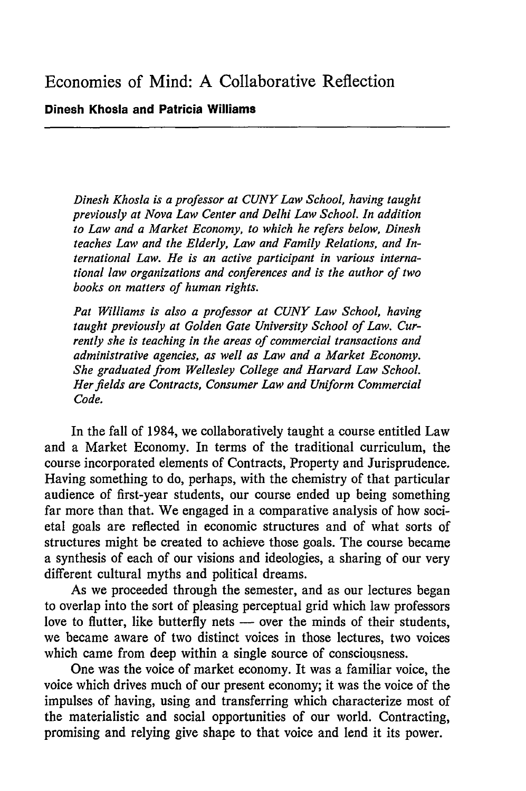## **Dinesh Khosla and Patricia Williams**

*Dinesh Khosla is a professor at CUNY Law School, having taught previously at Nova Law Center and Delhi Law School. In addition to Law and a Market Economy, to which he refers below, Dinesh teaches Law and the Elderly, Law and Family Relations, and International Law. He is an active participant in various international law organizations and conferences and is the author of two books on matters of human rights.*

*Pat Williams is also a professor at CUNY Law School, having taught previously at Golden Gate University School of Law. Currently she is teaching in the areas of commercial transactions and administrative agencies, as well as Law and a Market Economy. She graduated from Wellesley College and Harvard Law School. Her fields are Contracts, Consumer Law and Uniform Commercial Code.*

In the fall of 1984, we collaboratively taught a course entitled Law and a Market Economy. In terms of the traditional curriculum, the course incorporated elements of Contracts, Property and Jurisprudence. Having something to do, perhaps, with the chemistry of that particular audience of first-year students, our course ended up being something far more than that. We engaged in a comparative analysis of how societal goals are reflected in economic structures and of what sorts of structures might be created to achieve those goals. The course became a synthesis of each of our visions and ideologies, a sharing of our very different cultural myths and political dreams.

As we proceeded through the semester, and as our lectures began to overlap into the sort of pleasing perceptual grid which law professors love to flutter, like butterfly nets — over the minds of their students, we became aware of two distinct voices in those lectures, two voices which came from deep within a single source of consciousness.

One was the voice of market economy. It was a familiar voice, the voice which drives much of our present economy; it was the voice of the impulses of having, using and transferring which characterize most of the materialistic and social opportunities of our world. Contracting, promising and relying give shape to that voice and lend it its power.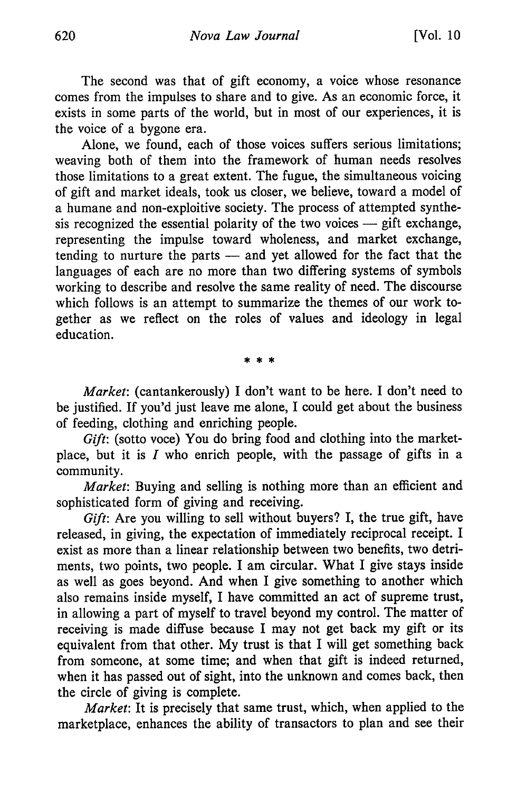The second was that of gift economy, a voice whose resonance comes from the impulses to share and to give. As an economic force, it exists in some parts of the world, but in most of our experiences, it is the voice of a bygone era.

Alone, we found, each of those voices suffers serious limitations; weaving both of them into the framework of human needs resolves those limitations to a great extent. The fugue, the simultaneous voicing of gift and market ideals, took us closer, we believe, toward a model of a humane and non-exploitive society. The process of attempted synthesis recognized the essential polarity of the two voices  $-$  gift exchange, representing the impulse toward wholeness, and market exchange, tending to nurture the parts - and yet allowed for the fact that the languages of each are no more than two differing systems of symbols working to describe and resolve the same reality of need. The discourse which follows is an attempt to summarize the themes of our work together as we reflect on the roles of values and ideology in legal education.

 $* * *$ 

*Market:* (cantankerously) I don't want to be here. I don't need to be justified. If you'd just leave me alone, I could get about the business of feeding, clothing and enriching people.

*Gift:* (sotto voce) You do bring food and clothing into the marketplace, but it is *I* who enrich people, with the passage of gifts in a community.

*Market:* Buying and selling is nothing more than an efficient and sophisticated form of giving and receiving.

*Gift:* Are you willing to sell without buyers? I, the true gift, have released, in giving, the expectation of immediately reciprocal receipt. I exist as more than a linear relationship between two benefits, two detriments, two points, two people. I am circular. What I give stays inside as well as goes beyond. And when I give something to another which also remains inside myself, I have committed an act of supreme trust, in allowing a part of myself to travel beyond my control. The matter of receiving is made diffuse because I may not get back my gift or its equivalent from that other. My trust is that I will get something back from someone, at some time; and when that gift is indeed returned, when it has passed out of sight, into the unknown and comes back, then the circle of giving is complete.

*Market:* It is precisely that same trust, which, when applied to the marketplace, enhances the ability of transactors to plan and see their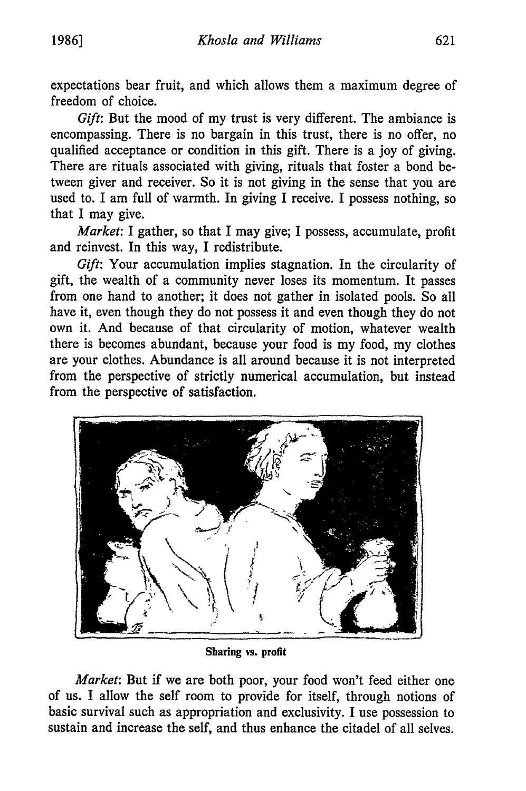expectations bear fruit, and which allows them a maximum degree of freedom of choice.

*Gift:* But the mood of my trust is very different. The ambiance is encompassing. There is no bargain in this trust, there is no offer, no qualified acceptance or condition in this gift. There is a joy of giving. There are rituals associated with giving, rituals that foster a bond between giver and receiver. So it is not giving in the sense that you are used to. I am full of warmth. In giving I receive. I possess nothing, so that I may give.

*Market:* I gather, so that I may give; I possess, accumulate, profit and reinvest. In this way, I redistribute.

*Gift:* Your accumulation implies stagnation. In the circularity of gift, the wealth of a community never loses its momentum. It passes from one hand to another; it does not gather in isolated pools. So all have it, even though they do not possess it and even though they do not own it. And because of that circularity of motion, whatever wealth there is becomes abundant, because your food is my food, my clothes are your clothes. Abundance is all around because it is not interpreted from the perspective of strictly numerical accumulation, but instead from the perspective of satisfaction.



**Sharing vs. profit**

*Market:* But if we are both poor, your food won't feed either one of us. I allow the self room to provide for itself, through notions of basic survival such as appropriation and exclusivity. I use possession to sustain and increase the self, and thus enhance the citadel of all selves.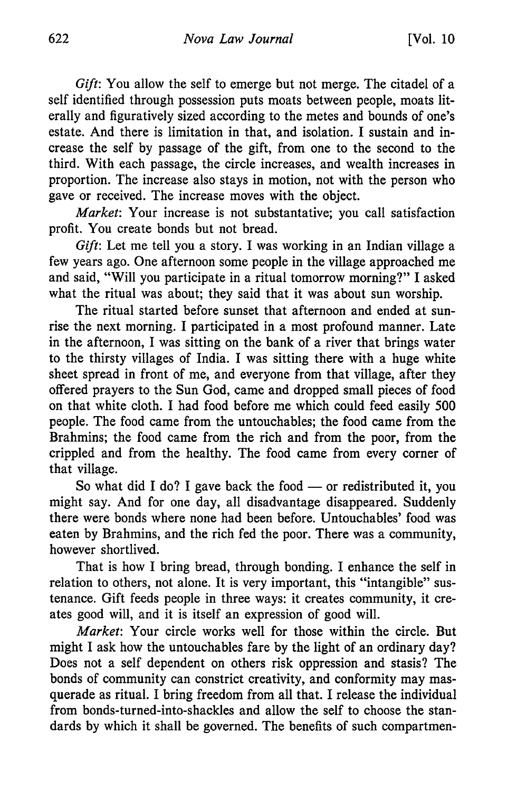*Gift:* You allow the self to emerge but not merge. The citadel of a self identified through possession puts moats between people, moats literally and figuratively sized according to the metes and bounds of one's estate. And there is limitation in that, and isolation. I sustain and increase the self by passage of the gift, from one to the second to the third. With each passage, the circle increases, and wealth increases in proportion. The increase also stays in motion, not with the person who gave or received. The increase moves with the object.

*Market:* Your increase is not substantative; you call satisfaction profit. You create bonds but not bread.

*Gift*: Let me tell you a story. I was working in an Indian village a few years ago. One afternoon some people in the village approached me and said, "Will you participate in a ritual tomorrow morning?" I asked what the ritual was about; they said that it was about sun worship.

The ritual started before sunset that afternoon and ended at sunrise the next morning. I participated in a most profound manner. Late in the afternoon, I was sitting on the bank of a river that brings water to the thirsty villages of India. I was sitting there with a huge white sheet spread in front of me, and everyone from that village, after they offered prayers to the Sun God, came and dropped small pieces of food on that white cloth. I had food before me which could feed easily 500 people. The food came from the untouchables; the food came from the Brahmins; the food came from the rich and from the poor, from the crippled and from the healthy. The food came from every corner of that village.

So what did I do? I gave back the food  $-$  or redistributed it, you might say. And for one day, all disadvantage disappeared. Suddenly there were bonds where none had been before. Untouchables' food was eaten by Brahmins, and the rich fed the poor. There was a community, however shortlived.

That is how I bring bread, through bonding. I enhance the self in relation to others, not alone. It is very important, this "intangible" sustenance. Gift feeds people in three ways: it creates community, it creates good will, and it is itself an expression of good will.

*Market:* Your circle works well for those within the circle. But might I ask how the untouchables fare by the light of an ordinary day? Does not a self dependent on others risk oppression and stasis? The bonds of community can constrict creativity, and conformity may masquerade as ritual. I bring freedom from all that. I release the individual from bonds-turned-into-shackles and allow the self to choose the standards by which it shall be governed. The benefits of such compartmen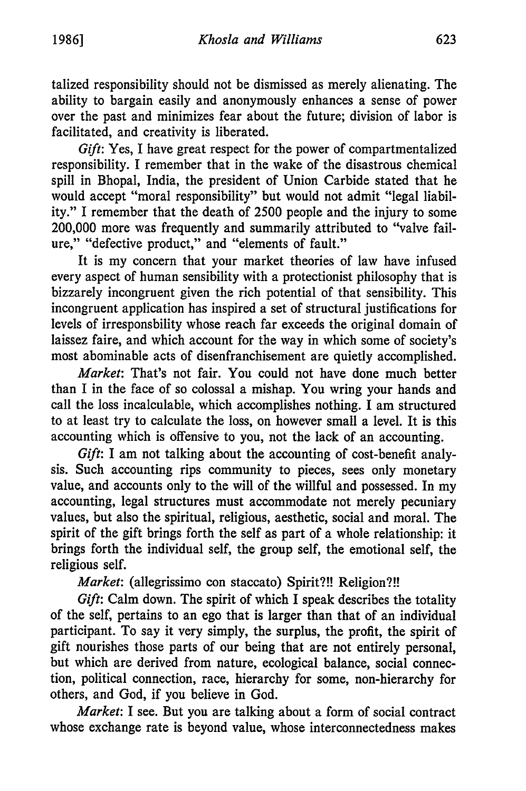talized responsibility should not be dismissed as merely alienating. The ability to bargain easily and anonymously enhances a sense of power over the past and minimizes fear about the future; division of labor is facilitated, and creativity is liberated.

*Gift:* Yes, I have great respect for the power of compartmentalized responsibility. I remember that in the wake of the disastrous chemical spill in Bhopal, India, the president of Union Carbide stated that he would accept "moral responsibility" but would not admit "legal liability." I remember that the death of 2500 people and the injury to some 200,000 more was frequently and summarily attributed to "valve failure." "defective product," and "elements of fault."

It is my concern that your market theories of law have infused every aspect of human sensibility with a protectionist philosophy that is bizzarely incongruent given the rich potential of that sensibility. This incongruent application has inspired a set of structural justifications for levels of irresponsbility whose reach far exceeds the original domain of laissez faire, and which account for the way in which some of society's most abominable acts of disenfranchisement are quietly accomplished.

*Market:* That's not fair. You could not have done much better than I in the face of so colossal a mishap. You wring your hands and call the loss incalculable, which accomplishes nothing. I am structured to at least try to calculate the loss, on however small a level. It is this accounting which is offensive to you, not the lack of an accounting.

*Gift*: I am not talking about the accounting of cost-benefit analysis. Such accounting rips community to pieces, sees only monetary value, and accounts only to the will of the willful and possessed. In my accounting, legal structures must accommodate not merely pecuniary values, but also the spiritual, religious, aesthetic, social and moral. The spirit of the gift brings forth the self as part of a whole relationship: it brings forth the individual self, the group self, the emotional self, the religious self.

*Market:* (allegrissimo con staccato) Spirit?!! Religion?!!

*Gift:* Calm down. The spirit of which I speak describes the totality of the self, pertains to an ego that is larger than that of an individual participant. To say it very simply, the surplus, the profit, the spirit of gift nourishes those parts of our being that are not entirely personal, but which are derived from nature, ecological balance, social connection, political connection, race, hierarchy for some, non-hierarchy for others, and God, if you believe in God.

*Market:* I see. But you are talking about a form of social contract whose exchange rate is beyond value, whose interconnectedness makes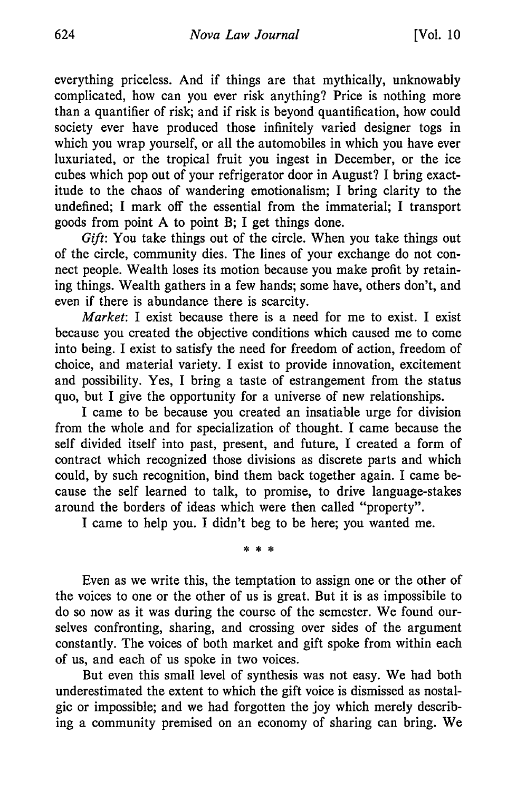everything priceless. And if things are that mythically, unknowably complicated, how can you ever risk anything? Price is nothing more than a quantifier of risk; and if risk is beyond quantification, how could society ever have produced those infinitely varied designer togs in which you wrap yourself, or all the automobiles in which you have ever luxuriated, or the tropical fruit you ingest in December, or the ice cubes which pop out of your refrigerator door in August? I bring exactitude to the chaos of wandering emotionalism; I bring clarity to the undefined; I mark off the essential from the immaterial; I transport goods from point A to point B; I get things done.

*Gift:* You take things out of the circle. When you take things out of the circle, community dies. The lines of your exchange do not connect people. Wealth loses its motion because you make profit by retaining things. Wealth gathers in a few hands; some have, others don't, and even if there is abundance there is scarcity.

*Market:* I exist because there is a need for me to exist. I exist because you created the objective conditions which caused me to come into being. I exist to satisfy the need for freedom of action, freedom of choice, and material variety. I exist to provide innovation, excitement and possibility. Yes, I bring a taste of estrangement from the status quo, but I give the opportunity for a universe of new relationships.

I came to be because you created an insatiable urge for division from the whole and for specialization of thought. I came because the self divided itself into past, present, and future, I created a form of contract which recognized those divisions as discrete parts and which could, by such recognition, bind them back together again. I came because the self learned to talk, to promise, to drive language-stakes around the borders of ideas which were then called "property".

I came to help you. I didn't beg to be here; you wanted me.

\* \* \*

Even as we write this, the temptation to assign one or the other of the voices to one or the other of us is great. But it is as impossibile to do so now as it was during the course of the semester. We found ourselves confronting, sharing, and crossing over sides of the argument constantly. The voices of both market and gift spoke from within each of us, and each of us spoke in two voices.

But even this small level of synthesis was not easy. We had both underestimated the extent to which the gift voice is dismissed as nostalgic or impossible; and we had forgotten the joy which merely describing a community premised on an economy of sharing can bring. We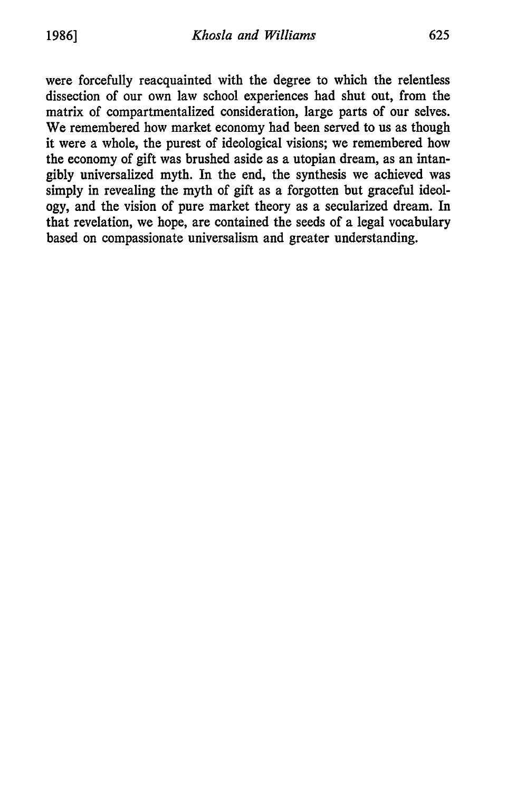were forcefully reacquainted with the degree to which the relentless dissection of our own law school experiences had shut out, from the matrix of compartmentalized consideration, large parts of our selves. We remembered how market economy had been served to us as though it were a whole, the purest of ideological visions; we remembered how the economy of gift was brushed aside as a utopian dream, as an intangibly universalized myth. In the end, the synthesis we achieved was simply in revealing the myth of gift as a forgotten but graceful ideology, and the vision of pure market theory as a secularized dream. In that revelation, we hope, are contained the seeds of a legal vocabulary based on compassionate universalism and greater understanding.